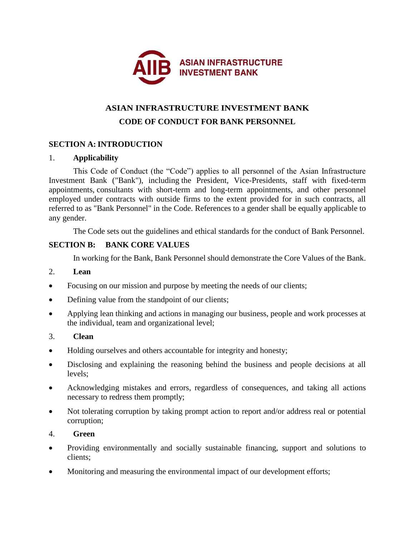

# **ASIAN INFRASTRUCTURE INVESTMENT BANK CODE OF CONDUCT FOR BANK PERSONNEL**

## **SECTION A:INTRODUCTION**

#### 1. **Applicability**

This Code of Conduct (the "Code") applies to all personnel of the Asian Infrastructure Investment Bank ("Bank"), including the President, Vice-Presidents, staff with fixed-term appointments, consultants with short-term and long-term appointments, and other personnel employed under contracts with outside firms to the extent provided for in such contracts, all referred to as "Bank Personnel" in the Code. References to a gender shall be equally applicable to any gender.

The Code sets out the guidelines and ethical standards for the conduct of Bank Personnel.

#### **SECTION B: BANK CORE VALUES**

In working for the Bank, Bank Personnel should demonstrate the Core Values of the Bank.

#### 2. **Lean**

- Focusing on our mission and purpose by meeting the needs of our clients;
- Defining value from the standpoint of our clients;
- Applying lean thinking and actions in managing our business, people and work processes at the individual, team and organizational level;
- 3. **Clean**
- Holding ourselves and others accountable for integrity and honesty;
- Disclosing and explaining the reasoning behind the business and people decisions at all levels;
- Acknowledging mistakes and errors, regardless of consequences, and taking all actions necessary to redress them promptly;
- Not tolerating corruption by taking prompt action to report and/or address real or potential corruption;

#### 4. **Green**

- Providing environmentally and socially sustainable financing, support and solutions to clients;
- Monitoring and measuring the environmental impact of our development efforts;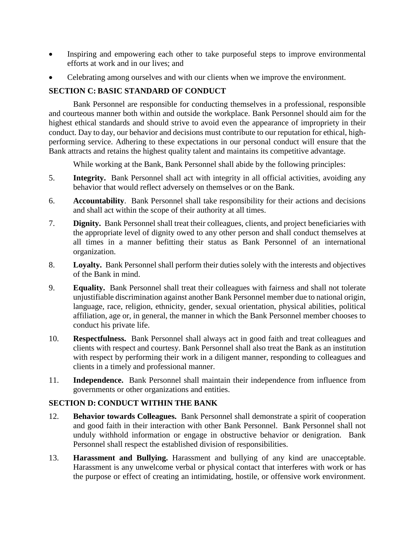- Inspiring and empowering each other to take purposeful steps to improve environmental efforts at work and in our lives; and
- Celebrating among ourselves and with our clients when we improve the environment.

# **SECTION C: BASIC STANDARD OF CONDUCT**

Bank Personnel are responsible for conducting themselves in a professional, responsible and courteous manner both within and outside the workplace. Bank Personnel should aim for the highest ethical standards and should strive to avoid even the appearance of impropriety in their conduct. Day to day, our behavior and decisions must contribute to our reputation for ethical, highperforming service. Adhering to these expectations in our personal conduct will ensure that the Bank attracts and retains the highest quality talent and maintains its competitive advantage.

While working at the Bank, Bank Personnel shall abide by the following principles:

- 5. **Integrity.** Bank Personnel shall act with integrity in all official activities, avoiding any behavior that would reflect adversely on themselves or on the Bank.
- 6. **Accountability**. Bank Personnel shall take responsibility for their actions and decisions and shall act within the scope of their authority at all times.
- 7. **Dignity.** Bank Personnel shall treat their colleagues, clients, and project beneficiaries with the appropriate level of dignity owed to any other person and shall conduct themselves at all times in a manner befitting their status as Bank Personnel of an international organization.
- 8. **Loyalty.** Bank Personnel shall perform their duties solely with the interests and objectives of the Bank in mind.
- 9. **Equality.** Bank Personnel shall treat their colleagues with fairness and shall not tolerate unjustifiable discrimination against another Bank Personnel member due to national origin, language, race, religion, ethnicity, gender, sexual orientation, physical abilities, political affiliation, age or, in general, the manner in which the Bank Personnel member chooses to conduct his private life.
- 10. **Respectfulness.** Bank Personnel shall always act in good faith and treat colleagues and clients with respect and courtesy. Bank Personnel shall also treat the Bank as an institution with respect by performing their work in a diligent manner, responding to colleagues and clients in a timely and professional manner.
- 11. **Independence.** Bank Personnel shall maintain their independence from influence from governments or other organizations and entities.

#### **SECTION D: CONDUCT WITHIN THE BANK**

- 12. **Behavior towards Colleagues.** Bank Personnel shall demonstrate a spirit of cooperation and good faith in their interaction with other Bank Personnel. Bank Personnel shall not unduly withhold information or engage in obstructive behavior or denigration. Bank Personnel shall respect the established division of responsibilities.
- 13. **Harassment and Bullying.** Harassment and bullying of any kind are unacceptable. Harassment is any unwelcome verbal or physical contact that interferes with work or has the purpose or effect of creating an intimidating, hostile, or offensive work environment.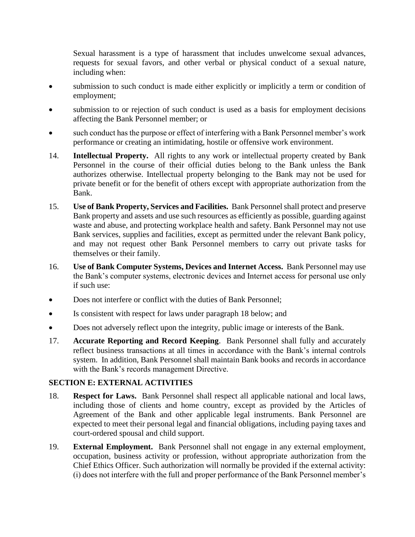Sexual harassment is a type of harassment that includes unwelcome sexual advances, requests for sexual favors, and other verbal or physical conduct of a sexual nature, including when:

- submission to such conduct is made either explicitly or implicitly a term or condition of employment;
- submission to or rejection of such conduct is used as a basis for employment decisions affecting the Bank Personnel member; or
- such conduct has the purpose or effect of interfering with a Bank Personnel member's work performance or creating an intimidating, hostile or offensive work environment.
- 14. **Intellectual Property.** All rights to any work or intellectual property created by Bank Personnel in the course of their official duties belong to the Bank unless the Bank authorizes otherwise. Intellectual property belonging to the Bank may not be used for private benefit or for the benefit of others except with appropriate authorization from the Bank.
- 15. **Use of Bank Property, Services and Facilities.** Bank Personnel shall protect and preserve Bank property and assets and use such resources as efficiently as possible, guarding against waste and abuse, and protecting workplace health and safety. Bank Personnel may not use Bank services, supplies and facilities, except as permitted under the relevant Bank policy, and may not request other Bank Personnel members to carry out private tasks for themselves or their family.
- 16. **Use of Bank Computer Systems, Devices and Internet Access.** Bank Personnel may use the Bank's computer systems, electronic devices and Internet access for personal use only if such use:
- Does not interfere or conflict with the duties of Bank Personnel;
- Is consistent with respect for laws under paragraph 18 below; and
- Does not adversely reflect upon the integrity, public image or interests of the Bank.
- 17. **Accurate Reporting and Record Keeping**. Bank Personnel shall fully and accurately reflect business transactions at all times in accordance with the Bank's internal controls system. In addition, Bank Personnel shall maintain Bank books and records in accordance with the Bank's records management Directive.

#### **SECTION E: EXTERNAL ACTIVITIES**

- 18. **Respect for Laws.** Bank Personnel shall respect all applicable national and local laws, including those of clients and home country, except as provided by the Articles of Agreement of the Bank and other applicable legal instruments. Bank Personnel are expected to meet their personal legal and financial obligations, including paying taxes and court-ordered spousal and child support.
- 19. **External Employment.** Bank Personnel shall not engage in any external employment, occupation, business activity or profession, without appropriate authorization from the Chief Ethics Officer. Such authorization will normally be provided if the external activity: (i) does not interfere with the full and proper performance of the Bank Personnel member's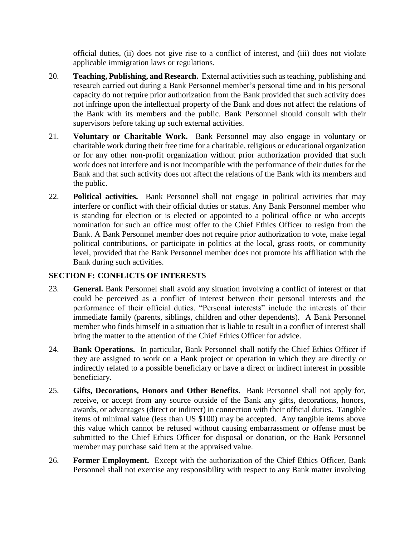official duties, (ii) does not give rise to a conflict of interest, and (iii) does not violate applicable immigration laws or regulations.

- 20. **Teaching, Publishing, and Research.** External activities such as teaching, publishing and research carried out during a Bank Personnel member's personal time and in his personal capacity do not require prior authorization from the Bank provided that such activity does not infringe upon the intellectual property of the Bank and does not affect the relations of the Bank with its members and the public. Bank Personnel should consult with their supervisors before taking up such external activities.
- 21. **Voluntary or Charitable Work.** Bank Personnel may also engage in voluntary or charitable work during their free time for a charitable, religious or educational organization or for any other non-profit organization without prior authorization provided that such work does not interfere and is not incompatible with the performance of their duties for the Bank and that such activity does not affect the relations of the Bank with its members and the public.
- 22. **Political activities.** Bank Personnel shall not engage in political activities that may interfere or conflict with their official duties or status. Any Bank Personnel member who is standing for election or is elected or appointed to a political office or who accepts nomination for such an office must offer to the Chief Ethics Officer to resign from the Bank. A Bank Personnel member does not require prior authorization to vote, make legal political contributions, or participate in politics at the local, grass roots, or community level, provided that the Bank Personnel member does not promote his affiliation with the Bank during such activities.

# **SECTION F: CONFLICTS OF INTERESTS**

- 23. **General.** Bank Personnel shall avoid any situation involving a conflict of interest or that could be perceived as a conflict of interest between their personal interests and the performance of their official duties. "Personal interests" include the interests of their immediate family (parents, siblings, children and other dependents). A Bank Personnel member who finds himself in a situation that is liable to result in a conflict of interest shall bring the matter to the attention of the Chief Ethics Officer for advice.
- 24. **Bank Operations.** In particular, Bank Personnel shall notify the Chief Ethics Officer if they are assigned to work on a Bank project or operation in which they are directly or indirectly related to a possible beneficiary or have a direct or indirect interest in possible beneficiary.
- 25. **Gifts, Decorations, Honors and Other Benefits.** Bank Personnel shall not apply for, receive, or accept from any source outside of the Bank any gifts, decorations, honors, awards, or advantages (direct or indirect) in connection with their official duties. Tangible items of minimal value (less than US \$100) may be accepted. Any tangible items above this value which cannot be refused without causing embarrassment or offense must be submitted to the Chief Ethics Officer for disposal or donation, or the Bank Personnel member may purchase said item at the appraised value.
- 26. **Former Employment.** Except with the authorization of the Chief Ethics Officer, Bank Personnel shall not exercise any responsibility with respect to any Bank matter involving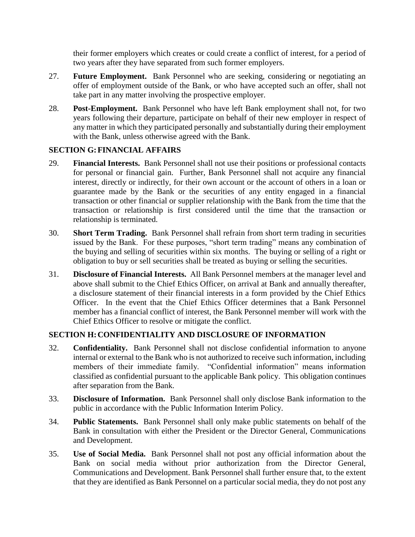their former employers which creates or could create a conflict of interest, for a period of two years after they have separated from such former employers.

- 27. **Future Employment.** Bank Personnel who are seeking, considering or negotiating an offer of employment outside of the Bank, or who have accepted such an offer, shall not take part in any matter involving the prospective employer.
- 28. **Post-Employment.** Bank Personnel who have left Bank employment shall not, for two years following their departure, participate on behalf of their new employer in respect of any matter in which they participated personally and substantially during their employment with the Bank, unless otherwise agreed with the Bank.

## **SECTION G:FINANCIAL AFFAIRS**

- 29. **Financial Interests.** Bank Personnel shall not use their positions or professional contacts for personal or financial gain. Further, Bank Personnel shall not acquire any financial interest, directly or indirectly, for their own account or the account of others in a loan or guarantee made by the Bank or the securities of any entity engaged in a financial transaction or other financial or supplier relationship with the Bank from the time that the transaction or relationship is first considered until the time that the transaction or relationship is terminated.
- 30. **Short Term Trading.** Bank Personnel shall refrain from short term trading in securities issued by the Bank. For these purposes, "short term trading" means any combination of the buying and selling of securities within six months. The buying or selling of a right or obligation to buy or sell securities shall be treated as buying or selling the securities.
- 31. **Disclosure of Financial Interests.** All Bank Personnel members at the manager level and above shall submit to the Chief Ethics Officer, on arrival at Bank and annually thereafter, a disclosure statement of their financial interests in a form provided by the Chief Ethics Officer. In the event that the Chief Ethics Officer determines that a Bank Personnel member has a financial conflict of interest, the Bank Personnel member will work with the Chief Ethics Officer to resolve or mitigate the conflict.

# **SECTION H:CONFIDENTIALITY AND DISCLOSURE OF INFORMATION**

- 32. **Confidentiality.** Bank Personnel shall not disclose confidential information to anyone internal or external to the Bank who is not authorized to receive such information, including members of their immediate family. "Confidential information" means information classified as confidential pursuant to the applicable Bank policy. This obligation continues after separation from the Bank.
- 33. **Disclosure of Information.** Bank Personnel shall only disclose Bank information to the public in accordance with the Public Information Interim Policy.
- 34. **Public Statements.** Bank Personnel shall only make public statements on behalf of the Bank in consultation with either the President or the Director General, Communications and Development.
- 35. **Use of Social Media.** Bank Personnel shall not post any official information about the Bank on social media without prior authorization from the Director General, Communications and Development. Bank Personnel shall further ensure that, to the extent that they are identified as Bank Personnel on a particular social media, they do not post any